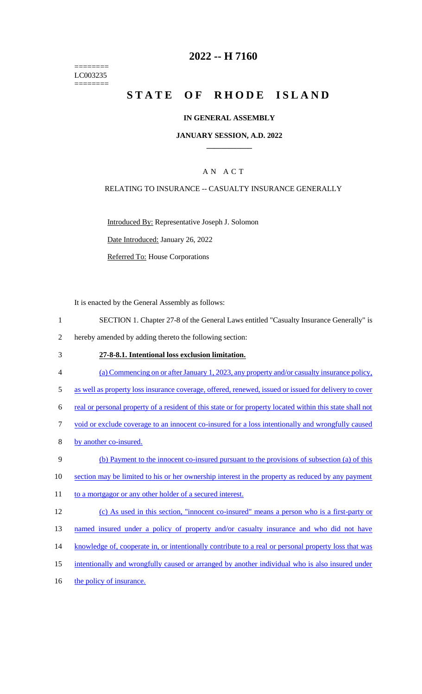======== LC003235 ========

# **2022 -- H 7160**

# **STATE OF RHODE ISLAND**

### **IN GENERAL ASSEMBLY**

### **JANUARY SESSION, A.D. 2022 \_\_\_\_\_\_\_\_\_\_\_\_**

# A N A C T

### RELATING TO INSURANCE -- CASUALTY INSURANCE GENERALLY

Introduced By: Representative Joseph J. Solomon

Date Introduced: January 26, 2022

Referred To: House Corporations

It is enacted by the General Assembly as follows:

- 1 SECTION 1. Chapter 27-8 of the General Laws entitled "Casualty Insurance Generally" is
- 2 hereby amended by adding thereto the following section:
- 3 **27-8-8.1. Intentional loss exclusion limitation.**
- 4 (a) Commencing on or after January 1, 2023, any property and/or casualty insurance policy,
- 5 as well as property loss insurance coverage, offered, renewed, issued or issued for delivery to cover
- 6 real or personal property of a resident of this state or for property located within this state shall not
- 7 void or exclude coverage to an innocent co-insured for a loss intentionally and wrongfully caused
- 8 by another co-insured.
- 9 (b) Payment to the innocent co-insured pursuant to the provisions of subsection (a) of this
- 10 section may be limited to his or her ownership interest in the property as reduced by any payment
- 11 to a mortgagor or any other holder of a secured interest.
- 12 (c) As used in this section, "innocent co-insured" means a person who is a first-party or
- 13 named insured under a policy of property and/or casualty insurance and who did not have
- 14 knowledge of, cooperate in, or intentionally contribute to a real or personal property loss that was
- 15 intentionally and wrongfully caused or arranged by another individual who is also insured under
- 16 the policy of insurance.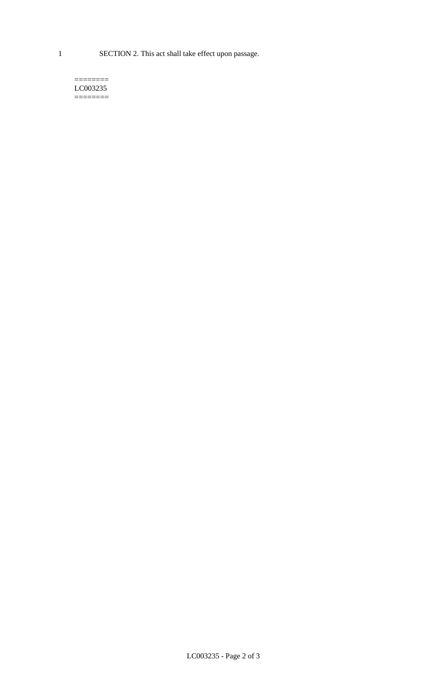1 SECTION 2. This act shall take effect upon passage.

#### $=$ LC003235 ========